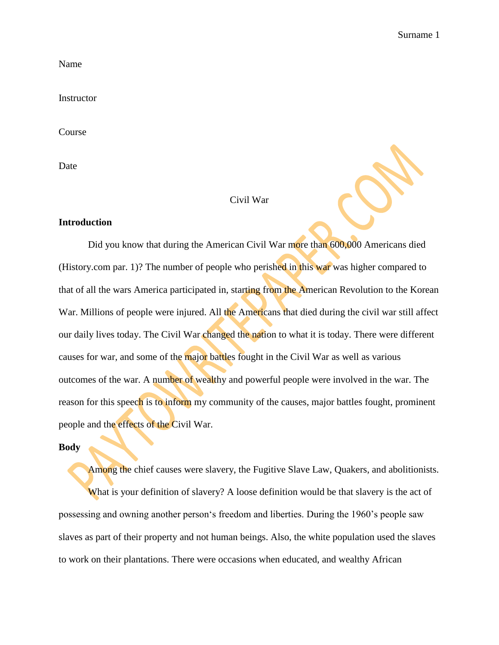Name

Instructor

Course

Date

## Civil War

## **Introduction**

Did you know that during the American Civil War more than 600,000 Americans died (History.com par. 1)? The number of people who perished in this war was higher compared to that of all the wars America participated in, starting from the American Revolution to the Korean War. Millions of people were injured. All the Americans that died during the civil war still affect our daily lives today. The Civil War changed the nation to what it is today. There were different causes for war, and some of the major battles fought in the Civil War as well as various outcomes of the war. A number of wealthy and powerful people were involved in the war. The reason for this speech is to inform my community of the causes, major battles fought, prominent people and the effects of the Civil War.

#### **Body**

Among the chief causes were slavery, the Fugitive Slave Law, Quakers, and abolitionists. What is your definition of slavery? A loose definition would be that slavery is the act of possessing and owning another person's freedom and liberties. During the 1960's people saw slaves as part of their property and not human beings. Also, the white population used the slaves to work on their plantations. There were occasions when educated, and wealthy African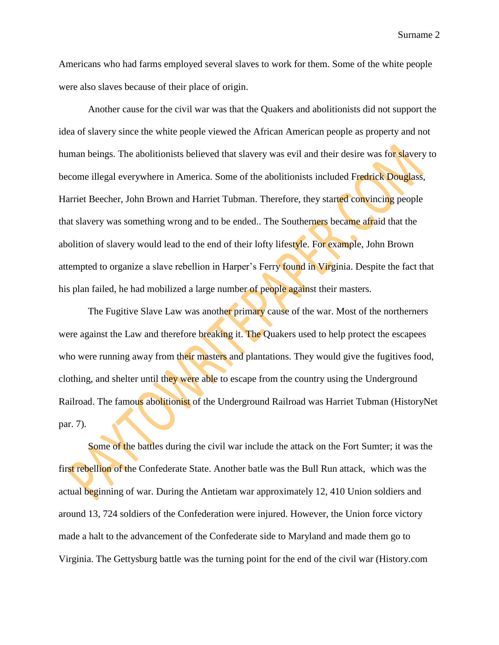Surname 2

Americans who had farms employed several slaves to work for them. Some of the white people were also slaves because of their place of origin.

Another cause for the civil war was that the Quakers and abolitionists did not support the idea of slavery since the white people viewed the African American people as property and not human beings. The abolitionists believed that slavery was evil and their desire was for slavery to become illegal everywhere in America. Some of the abolitionists included Fredrick Douglass, Harriet Beecher, John Brown and Harriet Tubman. Therefore, they started convincing people that slavery was something wrong and to be ended.. The Southerners became afraid that the abolition of slavery would lead to the end of their lofty lifestyle. For example, John Brown attempted to organize a slave rebellion in Harper's Ferry found in Virginia. Despite the fact that his plan failed, he had mobilized a large number of people against their masters.

The Fugitive Slave Law was another primary cause of the war. Most of the northerners were against the Law and therefore breaking it. The Quakers used to help protect the escapees who were running away from their masters and plantations. They would give the fugitives food, clothing, and shelter until they were able to escape from the country using the Underground Railroad. The famous abolitionist of the Underground Railroad was Harriet Tubman (HistoryNet par. 7).

Some of the battles during the civil war include the attack on the Fort Sumter; it was the first rebellion of the Confederate State. Another batle was the Bull Run attack, which was the actual beginning of war. During the Antietam war approximately 12, 410 Union soldiers and around 13, 724 soldiers of the Confederation were injured. However, the Union force victory made a halt to the advancement of the Confederate side to Maryland and made them go to Virginia. The Gettysburg battle was the turning point for the end of the civil war (History.com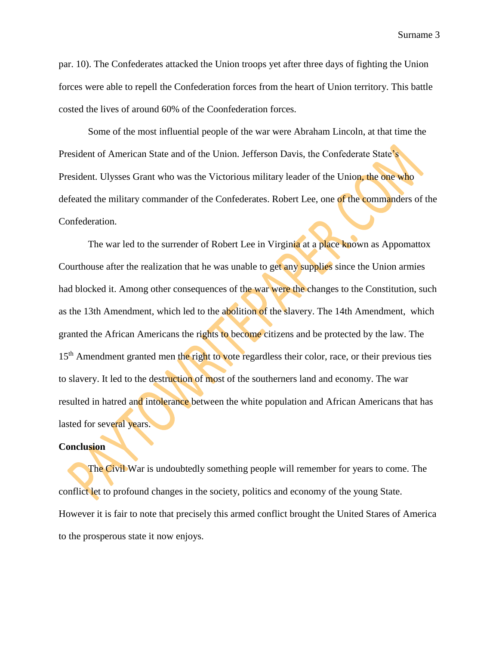Surname 3

par. 10). The Confederates attacked the Union troops yet after three days of fighting the Union forces were able to repell the Confederation forces from the heart of Union territory. This battle costed the lives of around 60% of the Coonfederation forces.

Some of the most influential people of the war were Abraham Lincoln, at that time the President of American State and of the Union. Jefferson Davis, the Confederate State's President. Ulysses Grant who was the Victorious military leader of the Union, the one who defeated the military commander of the Confederates. Robert Lee, one of the commanders of the Confederation.

The war led to the surrender of Robert Lee in Virginia at a place known as Appomattox Courthouse after the realization that he was unable to get any supplies since the Union armies had blocked it. Among other consequences of the war were the changes to the Constitution, such as the 13th Amendment, which led to the abolition of the slavery. The 14th Amendment, which granted the African Americans the rights to become citizens and be protected by the law. The 15<sup>th</sup> Amendment granted men the right to vote regardless their color, race, or their previous ties to slavery. It led to the destruction of most of the southerners land and economy. The war resulted in hatred and intolerance between the white population and African Americans that has lasted for several years.

## **Conclusion**

The Civil War is undoubtedly something people will remember for years to come. The conflict let to profound changes in the society, politics and economy of the young State. However it is fair to note that precisely this armed conflict brought the United Stares of America to the prosperous state it now enjoys.